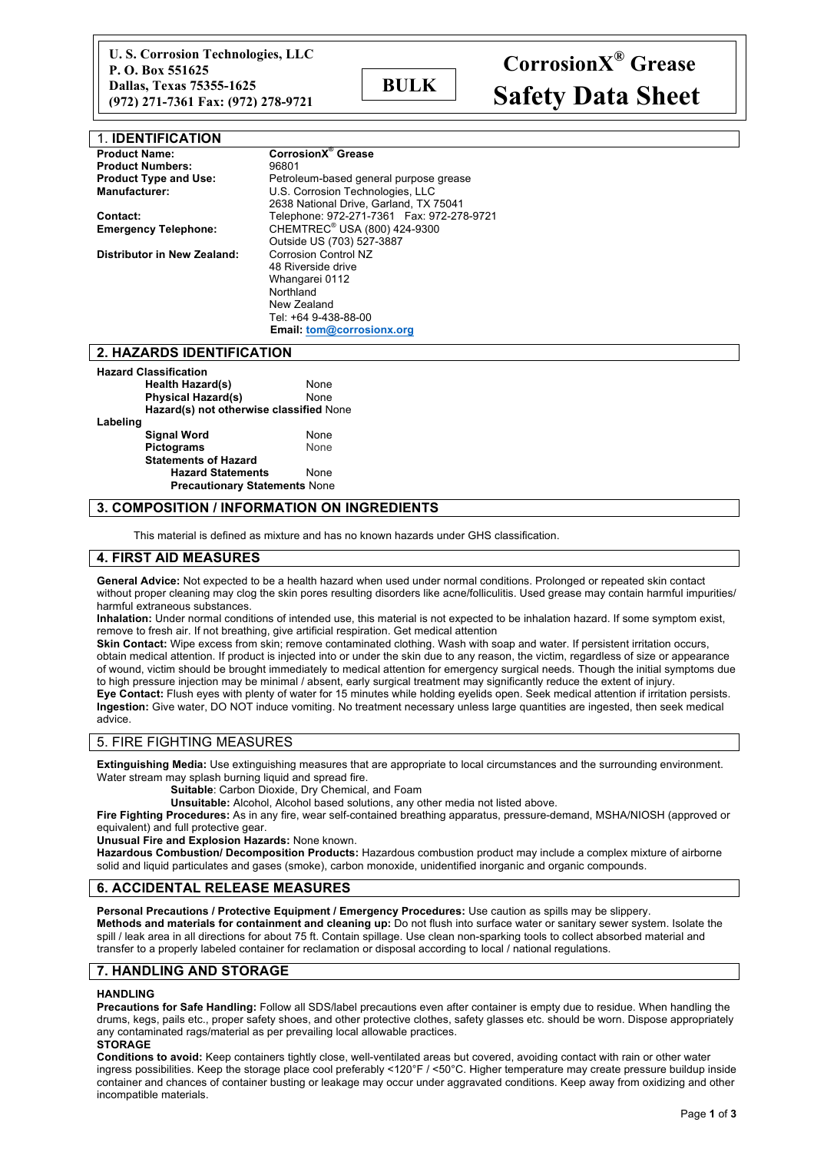| 1. IDENTIFICATION            |                                            |  |  |
|------------------------------|--------------------------------------------|--|--|
| <b>Product Name:</b>         | CorrosionX <sup>®</sup> Grease             |  |  |
| <b>Product Numbers:</b>      | 96801                                      |  |  |
| <b>Product Type and Use:</b> | Petroleum-based general purpose grease     |  |  |
| <b>Manufacturer:</b>         | U.S. Corrosion Technologies, LLC           |  |  |
|                              | 2638 National Drive, Garland, TX 75041     |  |  |
| Contact:                     | Telephone: 972-271-7361  Fax: 972-278-9721 |  |  |
| <b>Emergency Telephone:</b>  | CHEMTREC <sup>®</sup> USA (800) 424-9300   |  |  |
|                              | Outside US (703) 527-3887                  |  |  |
| Distributor in New Zealand:  | <b>Corrosion Control NZ</b>                |  |  |
|                              | 48 Riverside drive                         |  |  |
|                              | Whangarei 0112                             |  |  |
|                              | Northland                                  |  |  |
|                              | New Zealand                                |  |  |
|                              | Tel: +64 9-438-88-00                       |  |  |
|                              | Email: tom@corrosionx.org                  |  |  |

### **2. HAZARDS IDENTIFICATION**

| <b>Hazard Classification</b>            |      |  |  |  |
|-----------------------------------------|------|--|--|--|
| Health Hazard(s)                        | None |  |  |  |
| <b>Physical Hazard(s)</b>               | None |  |  |  |
| Hazard(s) not otherwise classified None |      |  |  |  |
| Labeling                                |      |  |  |  |
| <b>Signal Word</b>                      | None |  |  |  |
| <b>Pictograms</b>                       | None |  |  |  |
| <b>Statements of Hazard</b>             |      |  |  |  |
| <b>Hazard Statements</b>                | None |  |  |  |
| <b>Precautionary Statements None</b>    |      |  |  |  |

# **3. COMPOSITION / INFORMATION ON INGREDIENTS**

This material is defined as mixture and has no known hazards under GHS classification.

### **4. FIRST AID MEASURES**

**General Advice:** Not expected to be a health hazard when used under normal conditions. Prolonged or repeated skin contact without proper cleaning may clog the skin pores resulting disorders like acne/folliculitis. Used grease may contain harmful impurities/ harmful extraneous substances.

**Inhalation:** Under normal conditions of intended use, this material is not expected to be inhalation hazard. If some symptom exist, remove to fresh air. If not breathing, give artificial respiration. Get medical attention

**Skin Contact:** Wipe excess from skin; remove contaminated clothing. Wash with soap and water. If persistent irritation occurs, obtain medical attention. If product is injected into or under the skin due to any reason, the victim, regardless of size or appearance of wound, victim should be brought immediately to medical attention for emergency surgical needs. Though the initial symptoms due to high pressure injection may be minimal / absent, early surgical treatment may significantly reduce the extent of injury. **Eye Contact:** Flush eyes with plenty of water for 15 minutes while holding eyelids open. Seek medical attention if irritation persists. **Ingestion:** Give water, DO NOT induce vomiting. No treatment necessary unless large quantities are ingested, then seek medical advice.

#### 5. FIRE FIGHTING MEASURES

**Extinguishing Media:** Use extinguishing measures that are appropriate to local circumstances and the surrounding environment. Water stream may splash burning liquid and spread fire.

**Suitable**: Carbon Dioxide, Dry Chemical, and Foam

**Unsuitable:** Alcohol, Alcohol based solutions, any other media not listed above.

**Fire Fighting Procedures:** As in any fire, wear self-contained breathing apparatus, pressure-demand, MSHA/NIOSH (approved or equivalent) and full protective gear.

**Unusual Fire and Explosion Hazards:** None known.

**Hazardous Combustion/ Decomposition Products:** Hazardous combustion product may include a complex mixture of airborne solid and liquid particulates and gases (smoke), carbon monoxide, unidentified inorganic and organic compounds.

## **6. ACCIDENTAL RELEASE MEASURES**

**Personal Precautions / Protective Equipment / Emergency Procedures:** Use caution as spills may be slippery. **Methods and materials for containment and cleaning up:** Do not flush into surface water or sanitary sewer system. Isolate the spill / leak area in all directions for about 75 ft. Contain spillage. Use clean non-sparking tools to collect absorbed material and transfer to a properly labeled container for reclamation or disposal according to local / national regulations.

### **7. HANDLING AND STORAGE**

#### **HANDLING**

**Precautions for Safe Handling:** Follow all SDS/label precautions even after container is empty due to residue. When handling the drums, kegs, pails etc., proper safety shoes, and other protective clothes, safety glasses etc. should be worn. Dispose appropriately any contaminated rags/material as per prevailing local allowable practices.

**STORAGE**

**Conditions to avoid:** Keep containers tightly close, well-ventilated areas but covered, avoiding contact with rain or other water ingress possibilities. Keep the storage place cool preferably <120°F / <50°C. Higher temperature may create pressure buildup inside container and chances of container busting or leakage may occur under aggravated conditions. Keep away from oxidizing and other incompatible materials.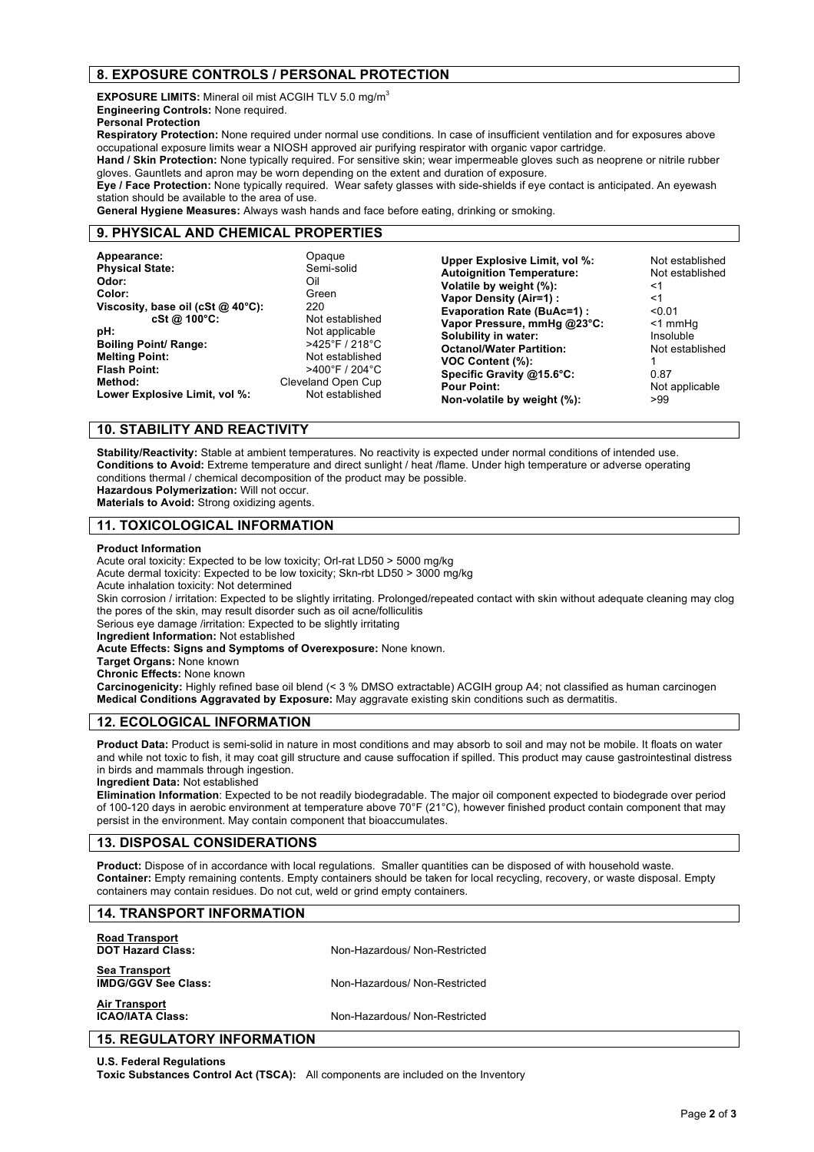# **8. EXPOSURE CONTROLS / PERSONAL PROTECTION**

**EXPOSURE LIMITS:** Mineral oil mist ACGIH TLV 5.0 mg/m<sup>3</sup> **Engineering Controls:** None required.

**Personal Protection**

**Respiratory Protection:** None required under normal use conditions. In case of insufficient ventilation and for exposures above occupational exposure limits wear a NIOSH approved air purifying respirator with organic vapor cartridge.

**Hand / Skin Protection:** None typically required. For sensitive skin; wear impermeable gloves such as neoprene or nitrile rubber gloves. Gauntlets and apron may be worn depending on the extent and duration of exposure.

**Eye / Face Protection:** None typically required. Wear safety glasses with side-shields if eye contact is anticipated. An eyewash station should be available to the area of use.

**General Hygiene Measures:** Always wash hands and face before eating, drinking or smoking.

### **9. PHYSICAL AND CHEMICAL PROPERTIES**

| Appearance:<br><b>Physical State:</b><br>Odor:<br>Color:<br>Viscosity, base oil (cSt $@$ 40°C):<br>cSt @ 100°C:<br>pH:<br><b>Boiling Point/ Range:</b><br><b>Melting Point:</b><br><b>Flash Point:</b><br>Method:<br>Lower Explosive Limit, vol %: | Opaque<br>Semi-solid<br>Oil<br>Green<br>220<br>Not established<br>Not applicable<br>$>425^{\circ}$ F / 218 $^{\circ}$ C<br>Not established<br>$>400^{\circ}$ F / 204 $^{\circ}$ C<br>Cleveland Open Cup<br>Not established | Upper Explosive Limit, vol %:<br><b>Autoignition Temperature:</b><br>Volatile by weight (%):<br>Vapor Density (Air=1) :<br><b>Evaporation Rate (BuAc=1):</b><br>Vapor Pressure, mmHg @23°C:<br>Solubility in water:<br><b>Octanol/Water Partition:</b><br>VOC Content (%):<br>Specific Gravity @15.6°C:<br><b>Pour Point:</b><br>Non-volatile by weight (%): | Not established<br>Not established<br>≺1<br>$<$ 1<br>$<$ 0.01<br><1 mmHq<br>Insoluble<br>Not established<br>0.87<br>Not applicable<br>>99 |
|----------------------------------------------------------------------------------------------------------------------------------------------------------------------------------------------------------------------------------------------------|----------------------------------------------------------------------------------------------------------------------------------------------------------------------------------------------------------------------------|--------------------------------------------------------------------------------------------------------------------------------------------------------------------------------------------------------------------------------------------------------------------------------------------------------------------------------------------------------------|-------------------------------------------------------------------------------------------------------------------------------------------|
|----------------------------------------------------------------------------------------------------------------------------------------------------------------------------------------------------------------------------------------------------|----------------------------------------------------------------------------------------------------------------------------------------------------------------------------------------------------------------------------|--------------------------------------------------------------------------------------------------------------------------------------------------------------------------------------------------------------------------------------------------------------------------------------------------------------------------------------------------------------|-------------------------------------------------------------------------------------------------------------------------------------------|

### **10. STABILITY AND REACTIVITY**

**Stability/Reactivity:** Stable at ambient temperatures. No reactivity is expected under normal conditions of intended use. **Conditions to Avoid:** Extreme temperature and direct sunlight / heat /flame. Under high temperature or adverse operating conditions thermal / chemical decomposition of the product may be possible. **Hazardous Polymerization:** Will not occur.

**Materials to Avoid:** Strong oxidizing agents.

### **11. TOXICOLOGICAL INFORMATION**

#### **Product Information**

Acute oral toxicity: Expected to be low toxicity; Orl-rat LD50 > 5000 mg/kg

Acute dermal toxicity: Expected to be low toxicity; Skn-rbt LD50 > 3000 mg/kg

Acute inhalation toxicity: Not determined

Skin corrosion / irritation: Expected to be slightly irritating. Prolonged/repeated contact with skin without adequate cleaning may clog the pores of the skin, may result disorder such as oil acne/folliculitis

Serious eye damage /irritation: Expected to be slightly irritating

**Ingredient Information:** Not established

**Acute Effects: Signs and Symptoms of Overexposure:** None known.

**Target Organs:** None known

**Chronic Effects:** None known

**Carcinogenicity:** Highly refined base oil blend (< 3 % DMSO extractable) ACGIH group A4; not classified as human carcinogen **Medical Conditions Aggravated by Exposure:** May aggravate existing skin conditions such as dermatitis.

## **12. ECOLOGICAL INFORMATION**

**Product Data:** Product is semi-solid in nature in most conditions and may absorb to soil and may not be mobile. It floats on water and while not toxic to fish, it may coat gill structure and cause suffocation if spilled. This product may cause gastrointestinal distress in birds and mammals through ingestion.

**Ingredient Data:** Not established

**Elimination Information**: Expected to be not readily biodegradable. The major oil component expected to biodegrade over period of 100-120 days in aerobic environment at temperature above 70°F (21°C), however finished product contain component that may persist in the environment. May contain component that bioaccumulates.

# **13. DISPOSAL CONSIDERATIONS**

**Product:** Dispose of in accordance with local regulations. Smaller quantities can be disposed of with household waste. **Container:** Empty remaining contents. Empty containers should be taken for local recycling, recovery, or waste disposal. Empty containers may contain residues. Do not cut, weld or grind empty containers.

## **14. TRANSPORT INFORMATION**

| <b>Road Transport</b><br><b>DOT Hazard Class:</b>  | Non-Hazardous/ Non-Restricted |
|----------------------------------------------------|-------------------------------|
| <b>Sea Transport</b><br><b>IMDG/GGV See Class:</b> | Non-Hazardous/ Non-Restricted |
| <b>Air Transport</b><br><b>ICAO/IATA Class:</b>    | Non-Hazardous/ Non-Restricted |
| <b>15. REGULATORY INFORMATION</b>                  |                               |